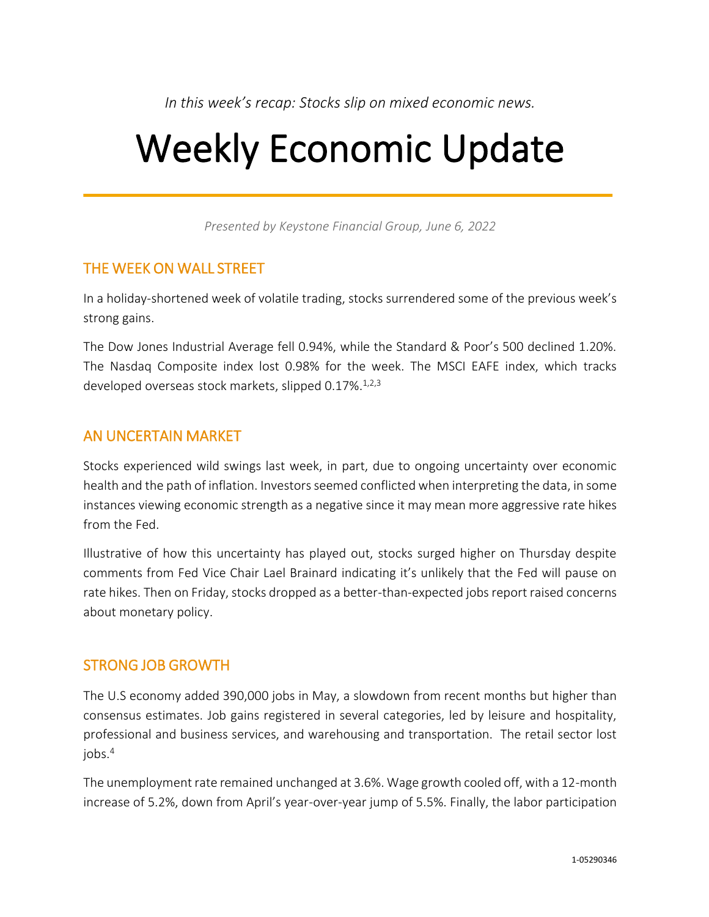*In this week's recap: Stocks slip on mixed economic news.*

# Weekly Economic Update

*Presented by Keystone Financial Group, June 6, 2022*

## THE WEEK ON WALL STREET

In a holiday-shortened week of volatile trading, stocks surrendered some of the previous week's strong gains.

The Dow Jones Industrial Average fell 0.94%, while the Standard & Poor's 500 declined 1.20%. The Nasdaq Composite index lost 0.98% for the week. The MSCI EAFE index, which tracks developed overseas stock markets, slipped 0.17%. 1,2,3

## AN UNCERTAIN MARKET

Stocks experienced wild swings last week, in part, due to ongoing uncertainty over economic health and the path of inflation. Investors seemed conflicted when interpreting the data, in some instances viewing economic strength as a negative since it may mean more aggressive rate hikes from the Fed.

Illustrative of how this uncertainty has played out, stocks surged higher on Thursday despite comments from Fed Vice Chair Lael Brainard indicating it's unlikely that the Fed will pause on rate hikes. Then on Friday, stocks dropped as a better-than-expected jobs report raised concerns about monetary policy.

## STRONG JOB GROWTH

The U.S economy added 390,000 jobs in May, a slowdown from recent months but higher than consensus estimates. Job gains registered in several categories, led by leisure and hospitality, professional and business services, and warehousing and transportation. The retail sector lost jobs. 4

The unemployment rate remained unchanged at 3.6%. Wage growth cooled off, with a 12-month increase of 5.2%, down from April's year-over-year jump of 5.5%. Finally, the labor participation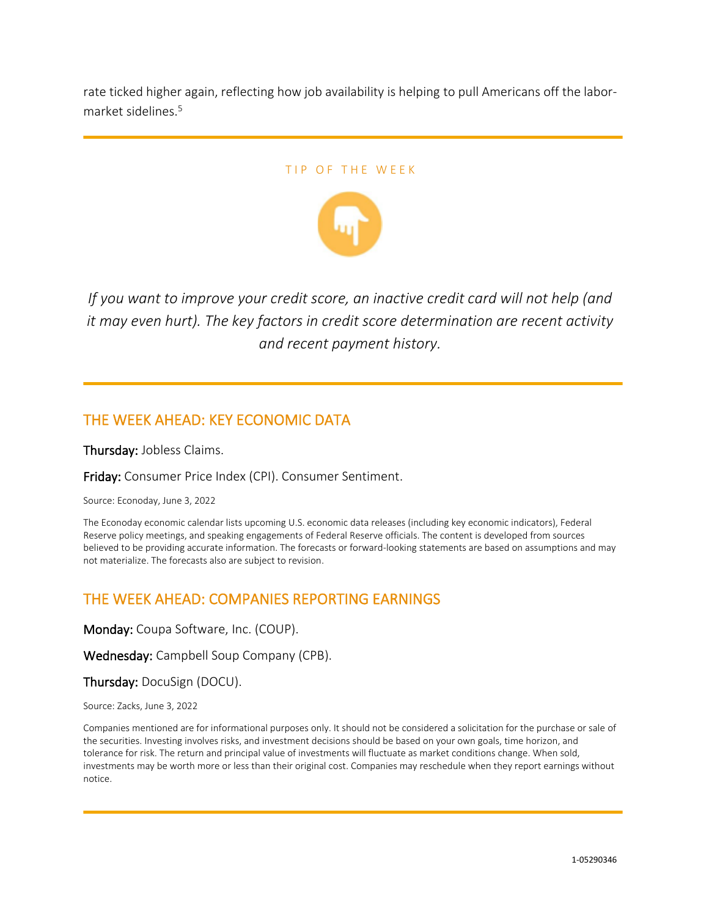rate ticked higher again, reflecting how job availability is helping to pull Americans off the labormarket sidelines. 5

#### TIP OF THE WEEK



*If you want to improve your credit score, an inactive credit card will not help (and it may even hurt). The key factors in credit score determination are recent activity and recent payment history.*

## THE WEEK AHEAD: KEY ECONOMIC DATA

Thursday: Jobless Claims.

Friday: Consumer Price Index (CPI). Consumer Sentiment.

Source: Econoday, June 3, 2022

The Econoday economic calendar lists upcoming U.S. economic data releases (including key economic indicators), Federal Reserve policy meetings, and speaking engagements of Federal Reserve officials. The content is developed from sources believed to be providing accurate information. The forecasts or forward-looking statements are based on assumptions and may not materialize. The forecasts also are subject to revision.

## THE WEEK AHEAD: COMPANIES REPORTING EARNINGS

Monday: Coupa Software, Inc. (COUP).

Wednesday: Campbell Soup Company (CPB).

Thursday: DocuSign (DOCU).

Source: Zacks, June 3, 2022

Companies mentioned are for informational purposes only. It should not be considered a solicitation for the purchase or sale of the securities. Investing involves risks, and investment decisions should be based on your own goals, time horizon, and tolerance for risk. The return and principal value of investments will fluctuate as market conditions change. When sold, investments may be worth more or less than their original cost. Companies may reschedule when they report earnings without notice.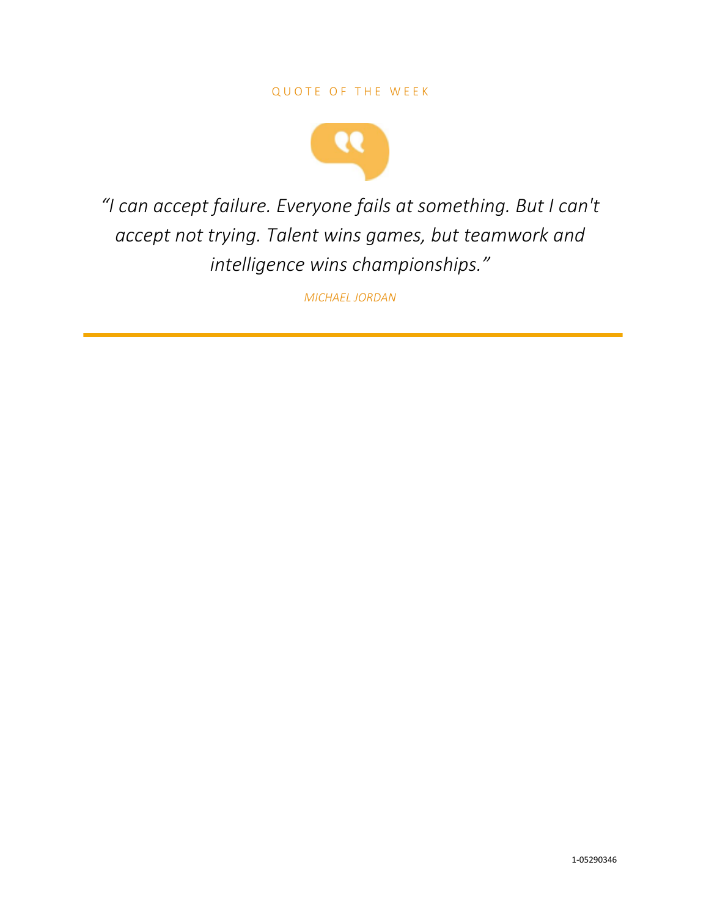#### QUOTE OF THE WEEK



*"I can accept failure. Everyone fails at something. But I can't accept not trying. Talent wins games, but teamwork and intelligence wins championships."*

*MICHAEL JORDAN*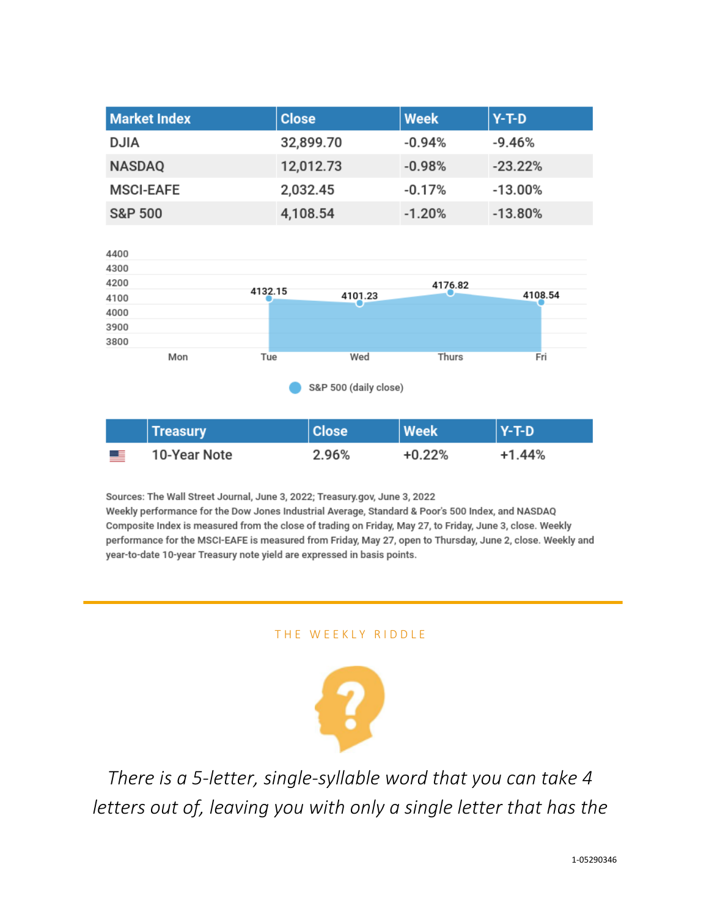| <b>Market Index</b> | <b>Close</b> | <b>Week</b> | $Y-T-D$   |
|---------------------|--------------|-------------|-----------|
| <b>DJIA</b>         | 32,899.70    | $-0.94%$    | $-9.46%$  |
| <b>NASDAQ</b>       | 12,012.73    | $-0.98%$    | $-23.22%$ |
| <b>MSCI-EAFE</b>    | 2,032.45     | $-0.17%$    | $-13.00%$ |
| <b>S&amp;P 500</b>  | 4,108.54     | $-1.20%$    | $-13.80%$ |



|    | <b>Treasury</b> | <b>Close</b> | <b>Week</b> | $Y-T-D$  |
|----|-----------------|--------------|-------------|----------|
| ▓▀ | 10-Year Note    | 2.96%        | $+0.22%$    | $+1.44%$ |

Sources: The Wall Street Journal, June 3, 2022; Treasury.gov, June 3, 2022 Weekly performance for the Dow Jones Industrial Average, Standard & Poor's 500 Index, and NASDAQ Composite Index is measured from the close of trading on Friday, May 27, to Friday, June 3, close. Weekly performance for the MSCI-EAFE is measured from Friday, May 27, open to Thursday, June 2, close. Weekly and year-to-date 10-year Treasury note yield are expressed in basis points.

#### THE WEEKLY RIDDLE



*There is a 5-letter, single-syllable word that you can take 4 letters out of, leaving you with only a single letter that has the*